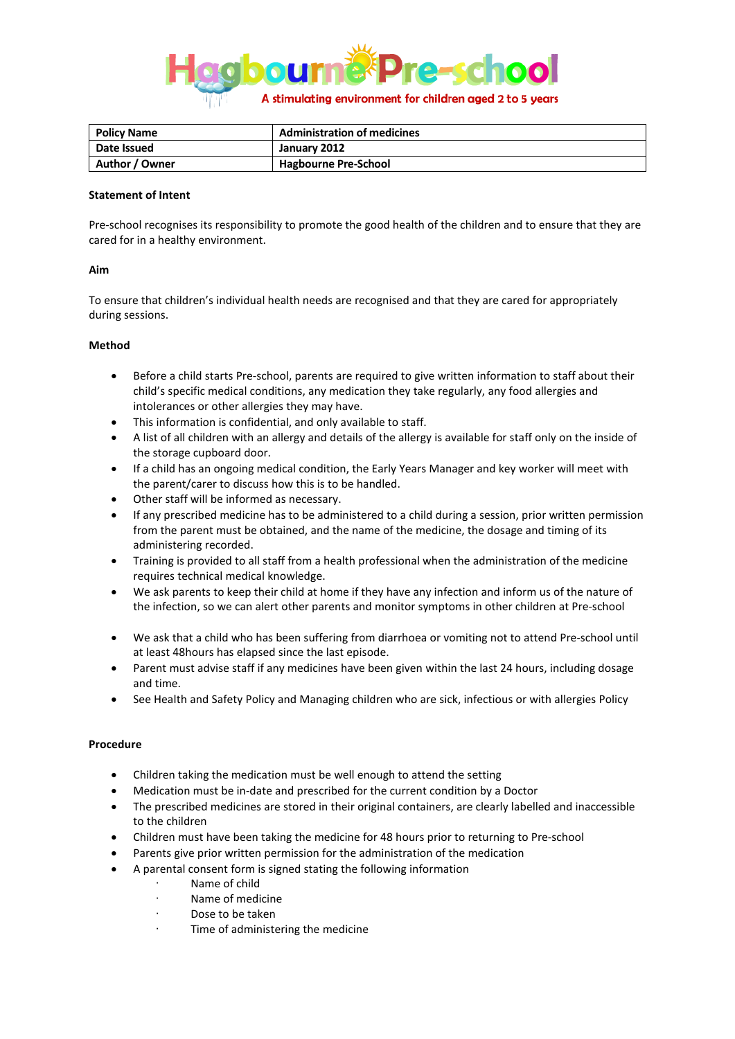

| <b>Policy Name</b> | <b>Administration of medicines</b> |
|--------------------|------------------------------------|
| Date Issued        | January 2012                       |
| Author / Owner     | <b>Hagbourne Pre-School</b>        |

## **Statement of Intent**

Pre-school recognises its responsibility to promote the good health of the children and to ensure that they are cared for in a healthy environment.

## **Aim**

To ensure that children's individual health needs are recognised and that they are cared for appropriately during sessions.

# **Method**

- Before a child starts Pre-school, parents are required to give written information to staff about their child's specific medical conditions, any medication they take regularly, any food allergies and intolerances or other allergies they may have.
- This information is confidential, and only available to staff.
- A list of all children with an allergy and details of the allergy is available for staff only on the inside of the storage cupboard door.
- If a child has an ongoing medical condition, the Early Years Manager and key worker will meet with the parent/carer to discuss how this is to be handled.
- Other staff will be informed as necessary.
- If any prescribed medicine has to be administered to a child during a session, prior written permission from the parent must be obtained, and the name of the medicine, the dosage and timing of its administering recorded.
- Training is provided to all staff from a health professional when the administration of the medicine requires technical medical knowledge.
- We ask parents to keep their child at home if they have any infection and inform us of the nature of the infection, so we can alert other parents and monitor symptoms in other children at Pre-school
- We ask that a child who has been suffering from diarrhoea or vomiting not to attend Pre-school until at least 48hours has elapsed since the last episode.
- Parent must advise staff if any medicines have been given within the last 24 hours, including dosage and time.
- See Health and Safety Policy and Managing children who are sick, infectious or with allergies Policy

### **Procedure**

- Children taking the medication must be well enough to attend the setting
- Medication must be in-date and prescribed for the current condition by a Doctor
- The prescribed medicines are stored in their original containers, are clearly labelled and inaccessible to the children
- Children must have been taking the medicine for 48 hours prior to returning to Pre-school
- Parents give prior written permission for the administration of the medication
- A parental consent form is signed stating the following information
	- Name of child
	- Name of medicine
	- Dose to be taken
	- Time of administering the medicine